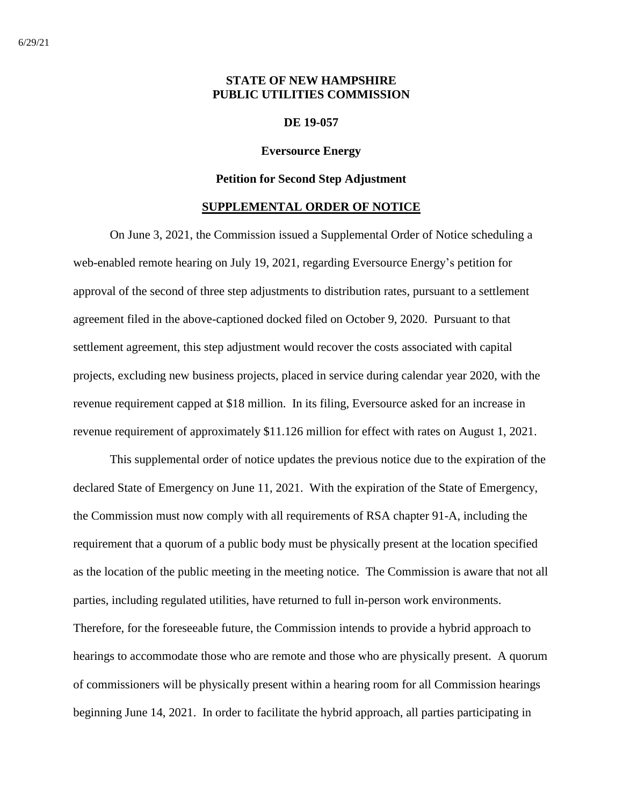# **STATE OF NEW HAMPSHIRE PUBLIC UTILITIES COMMISSION**

#### **DE 19-057**

### **Eversource Energy**

#### **Petition for Second Step Adjustment**

#### **SUPPLEMENTAL ORDER OF NOTICE**

On June 3, 2021, the Commission issued a Supplemental Order of Notice scheduling a web-enabled remote hearing on July 19, 2021, regarding Eversource Energy's petition for approval of the second of three step adjustments to distribution rates, pursuant to a settlement agreement filed in the above-captioned docked filed on October 9, 2020. Pursuant to that settlement agreement, this step adjustment would recover the costs associated with capital projects, excluding new business projects, placed in service during calendar year 2020, with the revenue requirement capped at \$18 million. In its filing, Eversource asked for an increase in revenue requirement of approximately \$11.126 million for effect with rates on August 1, 2021.

This supplemental order of notice updates the previous notice due to the expiration of the declared State of Emergency on June 11, 2021. With the expiration of the State of Emergency, the Commission must now comply with all requirements of RSA chapter 91-A, including the requirement that a quorum of a public body must be physically present at the location specified as the location of the public meeting in the meeting notice. The Commission is aware that not all parties, including regulated utilities, have returned to full in-person work environments. Therefore, for the foreseeable future, the Commission intends to provide a hybrid approach to hearings to accommodate those who are remote and those who are physically present. A quorum of commissioners will be physically present within a hearing room for all Commission hearings beginning June 14, 2021. In order to facilitate the hybrid approach, all parties participating in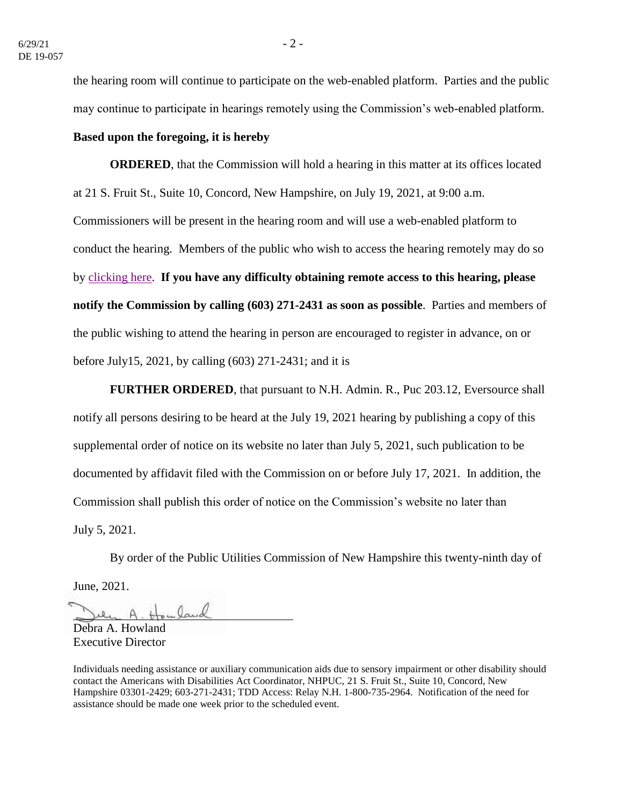the hearing room will continue to participate on the web-enabled platform. Parties and the public may continue to participate in hearings remotely using the Commission's web-enabled platform.

## **Based upon the foregoing, it is hereby**

**ORDERED**, that the Commission will hold a hearing in this matter at its offices located at 21 S. Fruit St., Suite 10, Concord, New Hampshire, on July 19, 2021, at 9:00 a.m. Commissioners will be present in the hearing room and will use a web-enabled platform to conduct the hearing. Members of the public who wish to access the hearing remotely may do so by [clicking here.](https://www.puc.nh.gov/Regulatory/Calendar-Remote.html) **If you have any difficulty obtaining remote access to this hearing, please notify the Commission by calling (603) 271-2431 as soon as possible**. Parties and members of the public wishing to attend the hearing in person are encouraged to register in advance, on or before July15, 2021, by calling (603) 271-2431; and it is

**FURTHER ORDERED**, that pursuant to N.H. Admin. R., Puc 203.12, Eversource shall notify all persons desiring to be heard at the July 19, 2021 hearing by publishing a copy of this supplemental order of notice on its website no later than July 5, 2021, such publication to be documented by affidavit filed with the Commission on or before July 17, 2021. In addition, the Commission shall publish this order of notice on the Commission's website no later than July 5, 2021.

By order of the Public Utilities Commission of New Hampshire this twenty-ninth day of June, 2021.

A. Howland

Debra A. Howland Executive Director

Individuals needing assistance or auxiliary communication aids due to sensory impairment or other disability should contact the Americans with Disabilities Act Coordinator, NHPUC, 21 S. Fruit St., Suite 10, Concord, New Hampshire 03301-2429; 603-271-2431; TDD Access: Relay N.H. 1-800-735-2964. Notification of the need for assistance should be made one week prior to the scheduled event.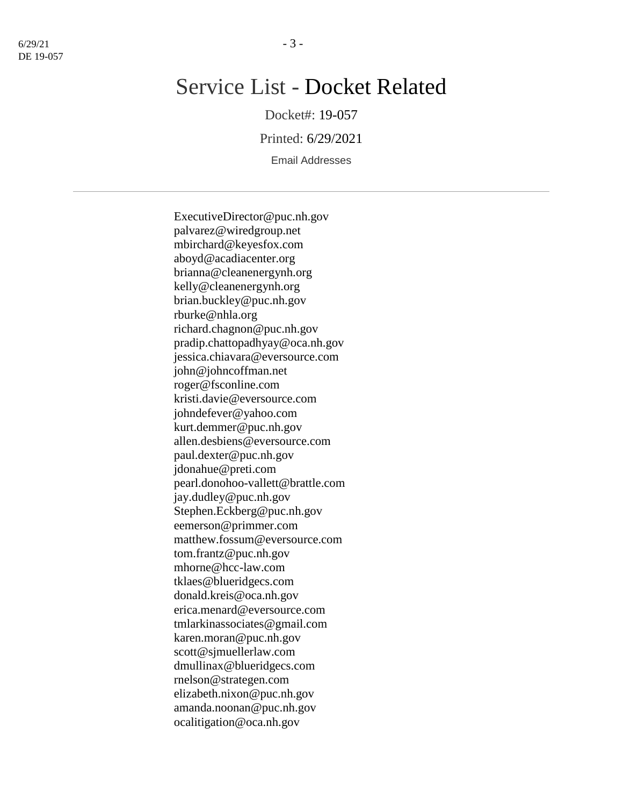# Service List - Docket Related

Docket#: 19-057

Printed: 6/29/2021

Email Addresses

ExecutiveDirector@puc.nh.gov palvarez@wiredgroup.net mbirchard@keyesfox.com aboyd@acadiacenter.org brianna@cleanenergynh.org kelly@cleanenergynh.org brian.buckley@puc.nh.gov rburke@nhla.org richard.chagnon@puc.nh.gov pradip.chattopadhyay@oca.nh.gov jessica.chiavara@eversource.com john@johncoffman.net roger@fsconline.com kristi.davie@eversource.com johndefever@yahoo.com kurt.demmer@puc.nh.gov allen.desbiens@eversource.com paul.dexter@puc.nh.gov jdonahue@preti.com pearl.donohoo-vallett@brattle.com jay.dudley@puc.nh.gov Stephen.Eckberg@puc.nh.gov eemerson@primmer.com matthew.fossum@eversource.com tom.frantz@puc.nh.gov mhorne@hcc-law.com tklaes@blueridgecs.com donald.kreis@oca.nh.gov erica.menard@eversource.com tmlarkinassociates@gmail.com karen.moran@puc.nh.gov scott@sjmuellerlaw.com dmullinax@blueridgecs.com rnelson@strategen.com elizabeth.nixon@puc.nh.gov amanda.noonan@puc.nh.gov ocalitigation@oca.nh.gov